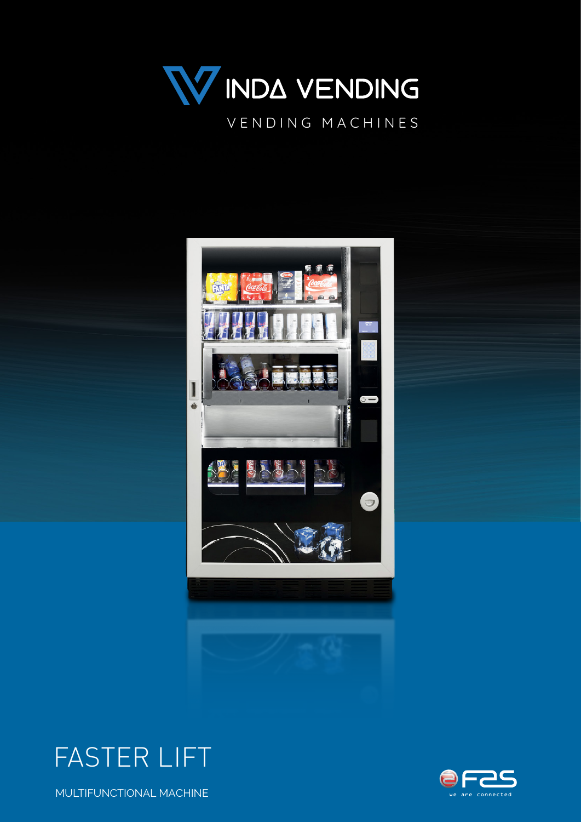







MULTIFUNCTIONAL MACHINE